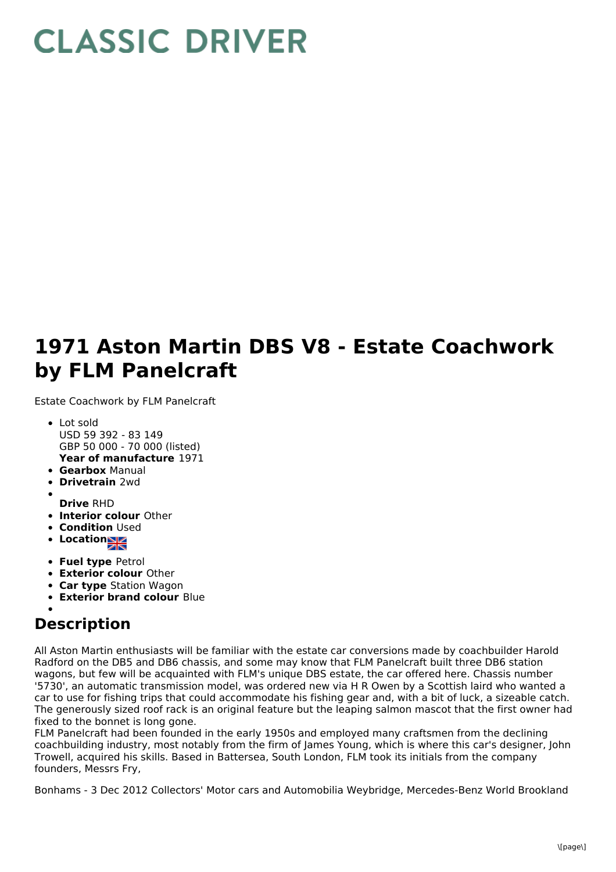## **CLASSIC DRIVER**

## **1971 Aston Martin DBS V8 - Estate Coachwork by FLM Panelcraft**

Estate Coachwork by FLM Panelcraft

- **Year of manufacture** 1971 • Lot sold USD 59 392 - 83 149 GBP 50 000 - 70 000 (listed)
- **Gearbox** Manual
- **Drivetrain** 2wd
- **Drive** RHD
- **Interior colour** Other
- **Condition Used**
- **Location**
- **Fuel type** Petrol
- **Exterior colour** Other
- **Car type** Station Wagon
- **Exterior brand colour** Blue

## **Description**

All Aston Martin enthusiasts will be familiar with the estate car conversions made by coachbuilder Harold Radford on the DB5 and DB6 chassis, and some may know that FLM Panelcraft built three DB6 station wagons, but few will be acquainted with FLM's unique DBS estate, the car offered here. Chassis number '5730', an automatic transmission model, was ordered new via H R Owen by a Scottish laird who wanted a car to use for fishing trips that could accommodate his fishing gear and, with a bit of luck, a sizeable catch. The generously sized roof rack is an original feature but the leaping salmon mascot that the first owner had fixed to the bonnet is long gone.

FLM Panelcraft had been founded in the early 1950s and employed many craftsmen from the declining coachbuilding industry, most notably from the firm of James Young, which is where this car's designer, John Trowell, acquired his skills. Based in Battersea, South London, FLM took its initials from the company founders, Messrs Fry,

Bonhams - 3 Dec 2012 Collectors' Motor cars and Automobilia Weybridge, Mercedes-Benz World Brookland